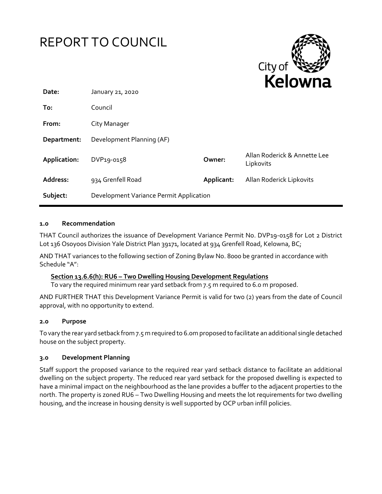

#### **1.0 Recommendation**

THAT Council authorizes the issuance of Development Variance Permit No. DVP19-0158 for Lot 2 District Lot 136 Osoyoos Division Yale District Plan 39171, located at 934 Grenfell Road, Kelowna, BC;

AND THAT variances to the following section of Zoning Bylaw No. 8000 be granted in accordance with Schedule "A":

# **Section 13.6.6(h): RU6 – Two Dwelling Housing Development Regulations**

To vary the required minimum rear yard setback from 7.5 m required to 6.0 m proposed.

AND FURTHER THAT this Development Variance Permit is valid for two (2) years from the date of Council approval, with no opportunity to extend.

#### **2.0 Purpose**

To vary the rear yard setback from 7.5 m required to 6.0m proposed to facilitate an additional single detached house on the subject property.

#### **3.0 Development Planning**

Staff support the proposed variance to the required rear yard setback distance to facilitate an additional dwelling on the subject property. The reduced rear yard setback for the proposed dwelling is expected to have a minimal impact on the neighbourhood as the lane provides a buffer to the adjacent properties to the north. The property is zoned RU6 – Two Dwelling Housing and meets the lot requirements for two dwelling housing, and the increase in housing density is well supported by OCP urban infill policies.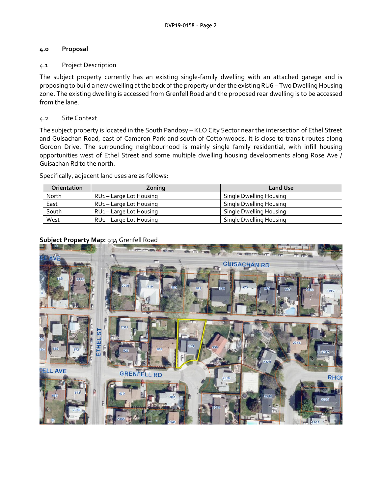# **4.0 Proposal**

#### 4.1 Project Description

The subject property currently has an existing single-family dwelling with an attached garage and is proposing to build a new dwelling at the back of the property under the existing RU6 – Two Dwelling Housing zone. The existing dwelling is accessed from Grenfell Road and the proposed rear dwelling is to be accessed from the lane.

#### 4.2 Site Context

The subject property is located in the South Pandosy – KLO City Sector near the intersection of Ethel Street and Guisachan Road, east of Cameron Park and south of Cottonwoods. It is close to transit routes along Gordon Drive. The surrounding neighbourhood is mainly single family residential, with infill housing opportunities west of Ethel Street and some multiple dwelling housing developments along Rose Ave / Guisachan Rd to the north.

Specifically, adjacent land uses are as follows:

| <b>Orientation</b> | Zoning                              | <b>Land Use</b>         |
|--------------------|-------------------------------------|-------------------------|
| North              | RU <sub>1</sub> – Large Lot Housing | Single Dwelling Housing |
| East               | RU <sub>1</sub> – Large Lot Housing | Single Dwelling Housing |
| South              | RU <sub>1</sub> – Large Lot Housing | Single Dwelling Housing |
| West               | RU <sub>1</sub> - Large Lot Housing | Single Dwelling Housing |

#### **Subject Property Map:** 934 Grenfell Road